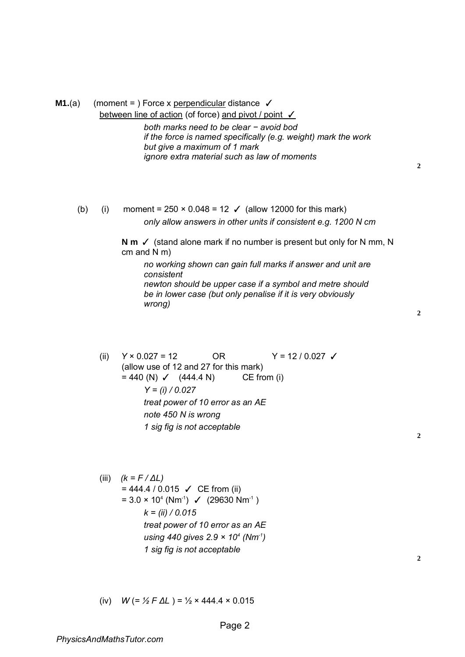| <b>M1.</b> (a) |       | (moment = ) Force x perpendicular distance $\checkmark$<br>between line of action (of force) and pivot / point V<br>both marks need to be clear - avoid bod<br>if the force is named specifically (e.g. weight) mark the work<br>but give a maximum of 1 mark<br>ignore extra material such as law of moments                                                                            | $\boldsymbol{2}$ |
|----------------|-------|------------------------------------------------------------------------------------------------------------------------------------------------------------------------------------------------------------------------------------------------------------------------------------------------------------------------------------------------------------------------------------------|------------------|
| (b)            | (i)   | moment = $250 \times 0.048 = 12$ $\checkmark$ (allow 12000 for this mark)<br>only allow answers in other units if consistent e.g. 1200 N cm<br>N $m \checkmark$ (stand alone mark if no number is present but only for N mm, N<br>cm and $N$ m)<br>no working shown can gain full marks if answer and unit are<br>consistent<br>newton should be upper case if a symbol and metre should |                  |
|                |       | be in lower case (but only penalise if it is very obviously<br>wrong)                                                                                                                                                                                                                                                                                                                    | $\overline{2}$   |
|                | (ii)  | $Y \times 0.027 = 12$<br><b>OR</b><br>$Y = 12 / 0.027$ $\checkmark$<br>(allow use of 12 and 27 for this mark)<br>CE from (i)<br>$= 440$ (N) $\checkmark$ (444.4 N)<br>$Y = (i) / 0.027$<br>treat power of 10 error as an AE<br>note 450 N is wrong<br>1 sig fig is not acceptable                                                                                                        | 2                |
|                | (iii) | $(k = F / \Delta L)$<br>$= 444.4 / 0.015$ $\checkmark$ CE from (ii)<br>$= 3.0 \times 10^{4}$ (Nm <sup>-1</sup> ) $\checkmark$ (29630 Nm <sup>-1</sup> )<br>$k = (ii) / 0.015$<br>treat power of 10 error as an AE                                                                                                                                                                        |                  |

**2**

(iv)  $W = \frac{1}{2} F \Delta L$   $= \frac{1}{2} \times 444.4 \times 0.015$ 

*using 440 gives 2.9 × 10<sup>4</sup> (Nm-1)* 

*1 sig fig is not acceptable*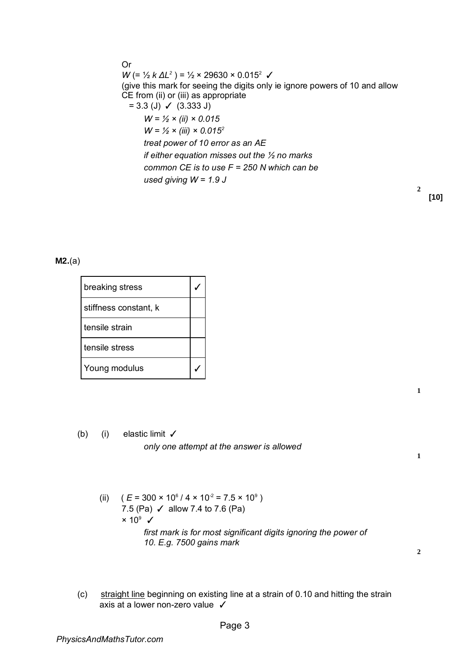Or  $W$  (= ½ *k* ΔL<sup>2</sup>) = ½ × 29630 × 0.015<sup>2</sup> √ (give this mark for seeing the digits only ie ignore powers of 10 and allow CE from (ii) or (iii) as appropriate  $= 3.3$  (J)  $\checkmark$  (3.333 J) *W = ½ × (ii) × 0.015 W = ½ × (iii) × 0.015<sup>2</sup> treat power of 10 error as an AE if either equation misses out the ½ no marks common CE is to use F = 250 N which can be used giving W = 1.9 J* 

## **M2.**(a)

| breaking stress       |  |
|-----------------------|--|
| stiffness constant, k |  |
| tensile strain        |  |
| tensile stress        |  |
| Young modulus         |  |

(b) (i) elastic limit  $\checkmark$ *only one attempt at the answer is allowed* 

**1**

**2**

**1**

**2**

**[10]** 

- (ii)  $(E = 300 \times 10^6 / 4 \times 10^{-2} = 7.5 \times 10^9)$ 7.5 (Pa)  $\checkmark$  allow 7.4 to 7.6 (Pa)  $\times$  10<sup>9</sup>  $\checkmark$ *first mark is for most significant digits ignoring the power of 10. E.g. 7500 gains mark*
- (c) straight line beginning on existing line at a strain of 0.10 and hitting the strain axis at a lower non-zero value √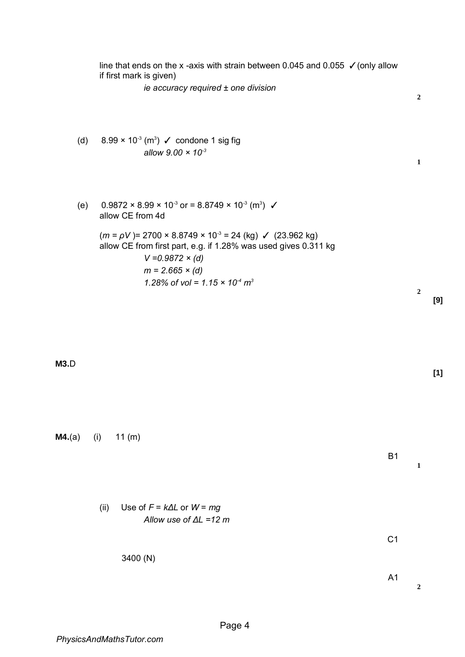|        | line that ends on the x-axis with strain between 0.045 and 0.055 $\checkmark$ (only allow<br>if first mark is given)                                                                                                                                                |                  |       |
|--------|---------------------------------------------------------------------------------------------------------------------------------------------------------------------------------------------------------------------------------------------------------------------|------------------|-------|
|        | ie accuracy required ± one division                                                                                                                                                                                                                                 | $\boldsymbol{2}$ |       |
| (d)    | $8.99 \times 10^{-3}$ (m <sup>3</sup> ) $\checkmark$ condone 1 sig fig<br>allow $9.00 \times 10^{-3}$                                                                                                                                                               | $\mathbf{1}$     |       |
| (e)    | $0.9872 \times 8.99 \times 10^{-3}$ or = 8.8749 $\times$ 10 <sup>-3</sup> (m <sup>3</sup> ) $\checkmark$<br>allow CE from 4d                                                                                                                                        |                  |       |
|        | $(m = \rho V)$ = 2700 × 8.8749 × 10 <sup>-3</sup> = 24 (kg) $\checkmark$ (23.962 kg)<br>allow CE from first part, e.g. if 1.28% was used gives 0.311 kg<br>$V = 0.9872 \times (d)$<br>$m = 2.665 \times (d)$<br>1.28% of vol = $1.15 \times 10^{-4}$ m <sup>3</sup> |                  |       |
|        |                                                                                                                                                                                                                                                                     | $\boldsymbol{2}$ | [9]   |
| M3.D   |                                                                                                                                                                                                                                                                     |                  | $[1]$ |
| M4.(a) | 11(m)<br>(i)<br><b>B1</b>                                                                                                                                                                                                                                           | $\mathbf{1}$     |       |
|        | Use of $F = k\Delta L$ or $W = mg$<br>(ii)<br>Allow use of $\Delta L = 12$ m                                                                                                                                                                                        |                  |       |
|        | C <sub>1</sub>                                                                                                                                                                                                                                                      |                  |       |
|        | 3400 (N)<br>A <sub>1</sub>                                                                                                                                                                                                                                          | $\mathbf{2}$     |       |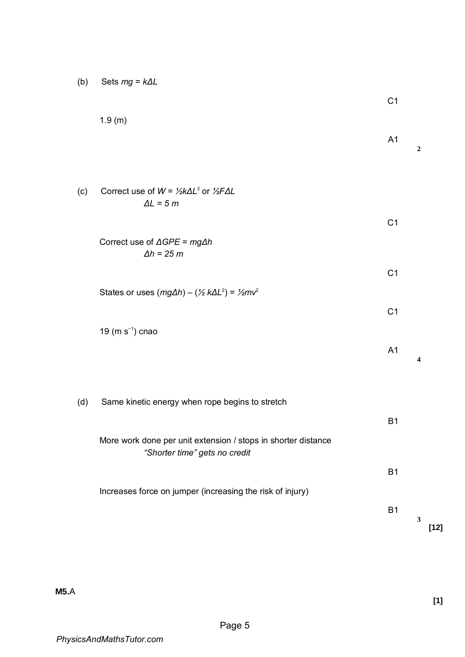| (b) | Sets $mg = k\Delta L$ |  |
|-----|-----------------------|--|
|-----|-----------------------|--|

|     |                                                                                                | C <sub>1</sub> |                        |
|-----|------------------------------------------------------------------------------------------------|----------------|------------------------|
|     | 1.9(m)                                                                                         | A <sub>1</sub> | $\boldsymbol{2}$       |
| (c) | Correct use of $W = \frac{1}{2}k\Delta L^2$ or $\frac{1}{2}F\Delta L$<br>$\Delta L = 5 m$      |                |                        |
|     |                                                                                                | C <sub>1</sub> |                        |
|     | Correct use of $\triangle GPE = mg\triangle h$<br>$\Delta h = 25 m$                            |                |                        |
|     |                                                                                                | C <sub>1</sub> |                        |
|     | States or uses $(mg\Delta h) - (\frac{1}{2}k\Delta L^2) = \frac{1}{2}mv^2$                     | C <sub>1</sub> |                        |
|     | 19 ( $m s^{-1}$ ) cnao                                                                         |                |                        |
|     |                                                                                                | A <sub>1</sub> | 4                      |
| (d) | Same kinetic energy when rope begins to stretch                                                |                |                        |
|     |                                                                                                | <b>B1</b>      |                        |
|     | More work done per unit extension / stops in shorter distance<br>"Shorter time" gets no credit |                |                        |
|     |                                                                                                | <b>B1</b>      |                        |
|     | Increases force on jumper (increasing the risk of injury)                                      | <b>B1</b>      |                        |
|     |                                                                                                |                | $\mathbf{3}$<br>$[12]$ |